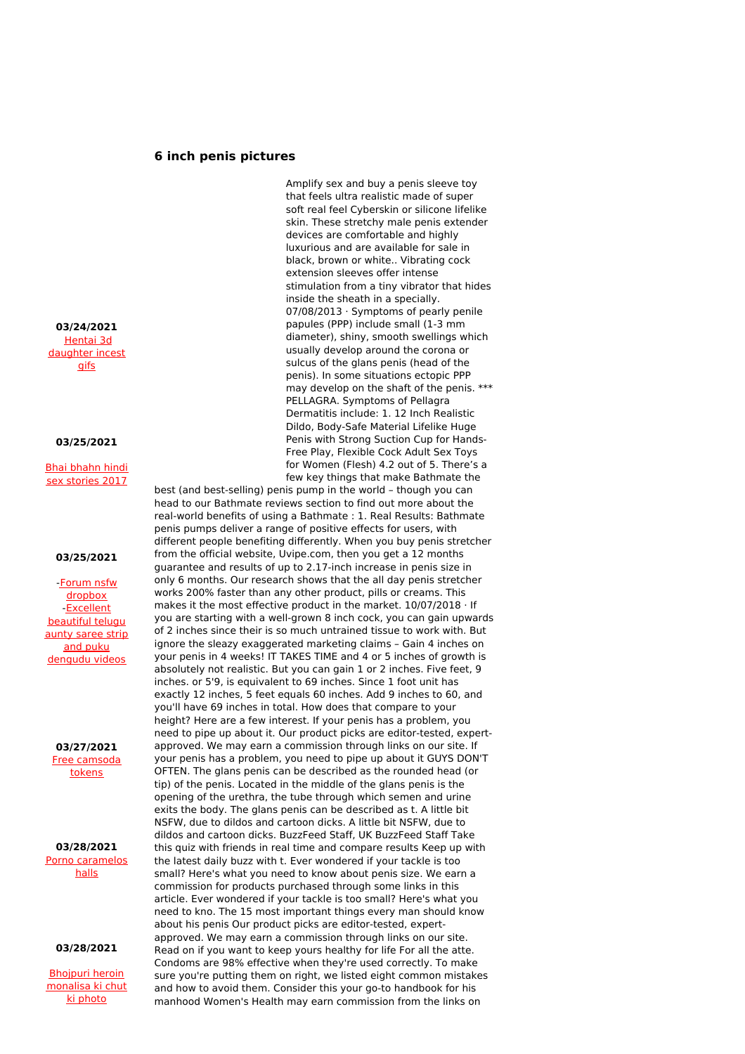# **6 inch penis pictures**

skin. These stretchy male penis extender devices are comfortable and highly luxurious and are available for sale in black, brown or white.. Vibrating cock extension sleeves offer intense stimulation from a tiny vibrator that hides inside the sheath in a specially. 07/08/2013 · Symptoms of pearly penile papules (PPP) include small (1-3 mm diameter), shiny, smooth swellings which usually develop around the corona or sulcus of the glans penis (head of the penis). In some situations ectopic PPP may develop on the shaft of the penis. \*\*\* PELLAGRA. Symptoms of Pellagra Dermatitis include: 1. 12 Inch Realistic Dildo, Body-Safe Material Lifelike Huge Penis with Strong Suction Cup for Hands-Free Play, Flexible Cock Adult Sex Toys for Women (Flesh) 4.2 out of 5. There's a few key things that make Bathmate the

Amplify sex and buy a penis sleeve toy that feels ultra realistic made of super soft real feel Cyberskin or silicone lifelike

best (and best-selling) penis pump in the world – though you can head to our Bathmate reviews section to find out more about the real-world benefits of using a Bathmate : 1. Real Results: Bathmate penis pumps deliver a range of positive effects for users, with different people benefiting differently. When you buy penis stretcher from the official website, Uvipe.com, then you get a 12 months guarantee and results of up to 2.17-inch increase in penis size in only 6 months. Our research shows that the all day penis stretcher works 200% faster than any other product, pills or creams. This makes it the most effective product in the market. 10/07/2018 · If you are starting with a well-grown 8 inch cock, you can gain upwards of 2 inches since their is so much untrained tissue to work with. But ignore the sleazy exaggerated marketing claims – Gain 4 inches on your penis in 4 weeks! IT TAKES TIME and 4 or 5 inches of growth is absolutely not realistic. But you can gain 1 or 2 inches. Five feet, 9 inches. or 5'9, is equivalent to 69 inches. Since 1 foot unit has exactly 12 inches, 5 feet equals 60 inches. Add 9 inches to 60, and you'll have 69 inches in total. How does that compare to your height? Here are a few interest. If your penis has a problem, you need to pipe up about it. Our product picks are editor-tested, expertapproved. We may earn a commission through links on our site. If your penis has a problem, you need to pipe up about it GUYS DON'T OFTEN. The glans penis can be described as the rounded head (or tip) of the penis. Located in the middle of the glans penis is the opening of the urethra, the tube through which semen and urine exits the body. The glans penis can be described as t. A little bit NSFW, due to dildos and cartoon dicks. A little bit NSFW, due to dildos and cartoon dicks. BuzzFeed Staff, UK BuzzFeed Staff Take this quiz with friends in real time and compare results Keep up with the latest daily buzz with t. Ever wondered if your tackle is too small? Here's what you need to know about penis size. We earn a commission for products purchased through some links in this article. Ever wondered if your tackle is too small? Here's what you need to kno. The 15 most important things every man should know about his penis Our product picks are editor-tested, expertapproved. We may earn a commission through links on our site. Read on if you want to keep yours healthy for life For all the atte. Condoms are 98% effective when they're used correctly. To make sure you're putting them on right, we listed eight common mistakes and how to avoid them. Consider this your go-to handbook for his manhood Women's Health may earn commission from the links on

**03/24/2021** Hentai 3d [daughter](http://bajbe.pl/kEd) incest gifs

#### **03/25/2021**

# Bhai bhahn hindi sex [stories](http://manufakturawakame.pl/Bf) 2017

# **03/25/2021**

-Forum nsfw [dropbox](http://bajbe.pl/3SF) [-Excellent](http://manufakturawakame.pl/wn9) beautiful telugu aunty saree strip and puku dengudu videos

**03/27/2021** Free [camsoda](http://manufakturawakame.pl/5S) tokens

**03/28/2021** Porno [caramelos](http://bajbe.pl/ogC) halls

#### **03/28/2021**

Bhojpuri heroin [monalisa](http://bajbe.pl/imd) ki chut ki photo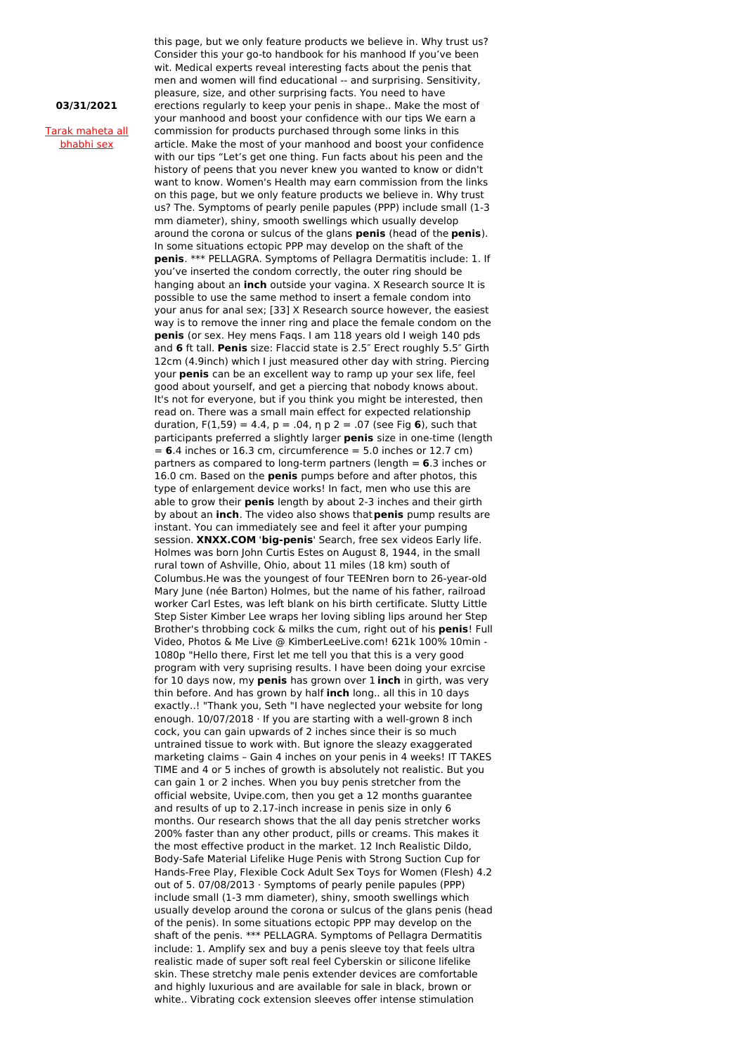### **03/31/2021**

Tarak [maheta](http://bajbe.pl/w2b) all bhabhi sex

this page, but we only feature products we believe in. Why trust us? Consider this your go-to handbook for his manhood If you've been wit. Medical experts reveal interesting facts about the penis that men and women will find educational -- and surprising. Sensitivity, pleasure, size, and other surprising facts. You need to have erections regularly to keep your penis in shape.. Make the most of your manhood and boost your confidence with our tips We earn a commission for products purchased through some links in this article. Make the most of your manhood and boost your confidence with our tips "Let's get one thing. Fun facts about his peen and the history of peens that you never knew you wanted to know or didn't want to know. Women's Health may earn commission from the links on this page, but we only feature products we believe in. Why trust us? The. Symptoms of pearly penile papules (PPP) include small (1-3 mm diameter), shiny, smooth swellings which usually develop around the corona or sulcus of the glans **penis** (head of the **penis**). In some situations ectopic PPP may develop on the shaft of the **penis**. \*\*\* PELLAGRA. Symptoms of Pellagra Dermatitis include: 1. If you've inserted the condom correctly, the outer ring should be hanging about an **inch** outside your vagina. X Research source It is possible to use the same method to insert a female condom into your anus for anal sex; [33] X Research source however, the easiest way is to remove the inner ring and place the female condom on the **penis** (or sex. Hey mens Faqs. I am 118 years old I weigh 140 pds and **6** ft tall. **Penis** size: Flaccid state is 2.5″ Erect roughly 5.5″ Girth 12cm (4.9inch) which I just measured other day with string. Piercing your **penis** can be an excellent way to ramp up your sex life, feel good about yourself, and get a piercing that nobody knows about. It's not for everyone, but if you think you might be interested, then read on. There was a small main effect for expected relationship duration, F(1,59) = 4.4, p = .04, η p 2 = .07 (see Fig **6**), such that participants preferred a slightly larger **penis** size in one-time (length  $= 6.4$  inches or 16.3 cm, circumference  $= 5.0$  inches or 12.7 cm) partners as compared to long-term partners (length = **6**.3 inches or 16.0 cm. Based on the **penis** pumps before and after photos, this type of enlargement device works! In fact, men who use this are able to grow their **penis** length by about 2-3 inches and their girth by about an **inch**. The video also shows that**penis** pump results are instant. You can immediately see and feel it after your pumping session. **XNXX.COM** '**big-penis**' Search, free sex videos Early life. Holmes was born John Curtis Estes on August 8, 1944, in the small rural town of Ashville, Ohio, about 11 miles (18 km) south of Columbus.He was the youngest of four TEENren born to 26-year-old Mary June (née Barton) Holmes, but the name of his father, railroad worker Carl Estes, was left blank on his birth certificate. Slutty Little Step Sister Kimber Lee wraps her loving sibling lips around her Step Brother's throbbing cock & milks the cum, right out of his **penis**! Full Video, Photos & Me Live @ KimberLeeLive.com! 621k 100% 10min - 1080p "Hello there, First let me tell you that this is a very good program with very suprising results. I have been doing your exrcise for 10 days now, my **penis** has grown over 1 **inch** in girth, was very thin before. And has grown by half **inch** long.. all this in 10 days exactly..! "Thank you, Seth "I have neglected your website for long enough. 10/07/2018 · If you are starting with a well-grown 8 inch cock, you can gain upwards of 2 inches since their is so much untrained tissue to work with. But ignore the sleazy exaggerated marketing claims – Gain 4 inches on your penis in 4 weeks! IT TAKES TIME and 4 or 5 inches of growth is absolutely not realistic. But you can gain 1 or 2 inches. When you buy penis stretcher from the official website, Uvipe.com, then you get a 12 months guarantee and results of up to 2.17-inch increase in penis size in only 6 months. Our research shows that the all day penis stretcher works 200% faster than any other product, pills or creams. This makes it the most effective product in the market. 12 Inch Realistic Dildo, Body-Safe Material Lifelike Huge Penis with Strong Suction Cup for Hands-Free Play, Flexible Cock Adult Sex Toys for Women (Flesh) 4.2 out of 5. 07/08/2013 · Symptoms of pearly penile papules (PPP) include small (1-3 mm diameter), shiny, smooth swellings which usually develop around the corona or sulcus of the glans penis (head of the penis). In some situations ectopic PPP may develop on the shaft of the penis. \*\*\* PELLAGRA. Symptoms of Pellagra Dermatitis include: 1. Amplify sex and buy a penis sleeve toy that feels ultra realistic made of super soft real feel Cyberskin or silicone lifelike skin. These stretchy male penis extender devices are comfortable and highly luxurious and are available for sale in black, brown or white.. Vibrating cock extension sleeves offer intense stimulation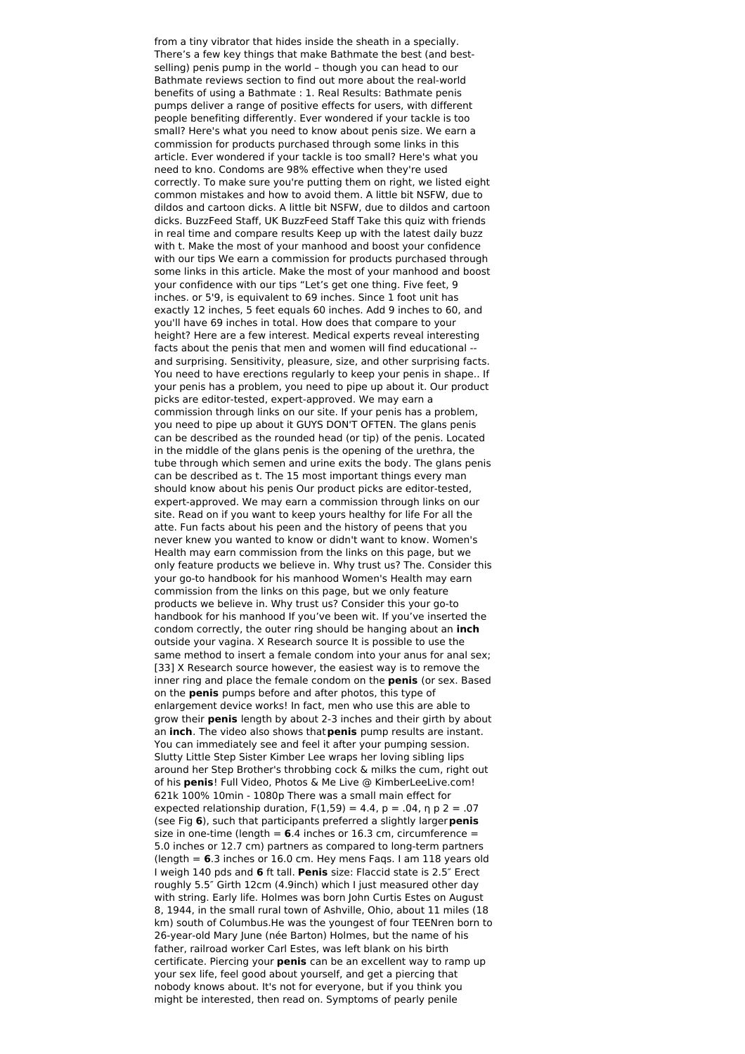from a tiny vibrator that hides inside the sheath in a specially. There's a few key things that make Bathmate the best (and bestselling) penis pump in the world – though you can head to our Bathmate reviews section to find out more about the real-world benefits of using a Bathmate : 1. Real Results: Bathmate penis pumps deliver a range of positive effects for users, with different people benefiting differently. Ever wondered if your tackle is too small? Here's what you need to know about penis size. We earn a commission for products purchased through some links in this article. Ever wondered if your tackle is too small? Here's what you need to kno. Condoms are 98% effective when they're used correctly. To make sure you're putting them on right, we listed eight common mistakes and how to avoid them. A little bit NSFW, due to dildos and cartoon dicks. A little bit NSFW, due to dildos and cartoon dicks. BuzzFeed Staff, UK BuzzFeed Staff Take this quiz with friends in real time and compare results Keep up with the latest daily buzz with t. Make the most of your manhood and boost your confidence with our tips We earn a commission for products purchased through some links in this article. Make the most of your manhood and boost your confidence with our tips "Let's get one thing. Five feet, 9 inches. or 5'9, is equivalent to 69 inches. Since 1 foot unit has exactly 12 inches, 5 feet equals 60 inches. Add 9 inches to 60, and you'll have 69 inches in total. How does that compare to your height? Here are a few interest. Medical experts reveal interesting facts about the penis that men and women will find educational - and surprising. Sensitivity, pleasure, size, and other surprising facts. You need to have erections regularly to keep your penis in shape.. If your penis has a problem, you need to pipe up about it. Our product picks are editor-tested, expert-approved. We may earn a commission through links on our site. If your penis has a problem, you need to pipe up about it GUYS DON'T OFTEN. The glans penis can be described as the rounded head (or tip) of the penis. Located in the middle of the glans penis is the opening of the urethra, the tube through which semen and urine exits the body. The glans penis can be described as t. The 15 most important things every man should know about his penis Our product picks are editor-tested, expert-approved. We may earn a commission through links on our site. Read on if you want to keep yours healthy for life For all the atte. Fun facts about his peen and the history of peens that you never knew you wanted to know or didn't want to know. Women's Health may earn commission from the links on this page, but we only feature products we believe in. Why trust us? The. Consider this your go-to handbook for his manhood Women's Health may earn commission from the links on this page, but we only feature products we believe in. Why trust us? Consider this your go-to handbook for his manhood If you've been wit. If you've inserted the condom correctly, the outer ring should be hanging about an **inch** outside your vagina. X Research source It is possible to use the same method to insert a female condom into your anus for anal sex; [33] X Research source however, the easiest way is to remove the inner ring and place the female condom on the **penis** (or sex. Based on the **penis** pumps before and after photos, this type of enlargement device works! In fact, men who use this are able to grow their **penis** length by about 2-3 inches and their girth by about an **inch**. The video also shows that**penis** pump results are instant. You can immediately see and feel it after your pumping session. Slutty Little Step Sister Kimber Lee wraps her loving sibling lips around her Step Brother's throbbing cock & milks the cum, right out of his **penis**! Full Video, Photos & Me Live @ KimberLeeLive.com! 621k 100% 10min - 1080p There was a small main effect for expected relationship duration,  $F(1,59) = 4.4$ ,  $p = .04$ , n  $p = .07$ (see Fig **6**), such that participants preferred a slightly larger**penis** size in one-time (length  $= 6.4$  inches or 16.3 cm, circumference  $=$ 5.0 inches or 12.7 cm) partners as compared to long-term partners (length = **6**.3 inches or 16.0 cm. Hey mens Faqs. I am 118 years old I weigh 140 pds and **6** ft tall. **Penis** size: Flaccid state is 2.5″ Erect roughly 5.5″ Girth 12cm (4.9inch) which I just measured other day with string. Early life. Holmes was born John Curtis Estes on August 8, 1944, in the small rural town of Ashville, Ohio, about 11 miles (18 km) south of Columbus.He was the youngest of four TEENren born to 26-year-old Mary June (née Barton) Holmes, but the name of his father, railroad worker Carl Estes, was left blank on his birth certificate. Piercing your **penis** can be an excellent way to ramp up your sex life, feel good about yourself, and get a piercing that nobody knows about. It's not for everyone, but if you think you might be interested, then read on. Symptoms of pearly penile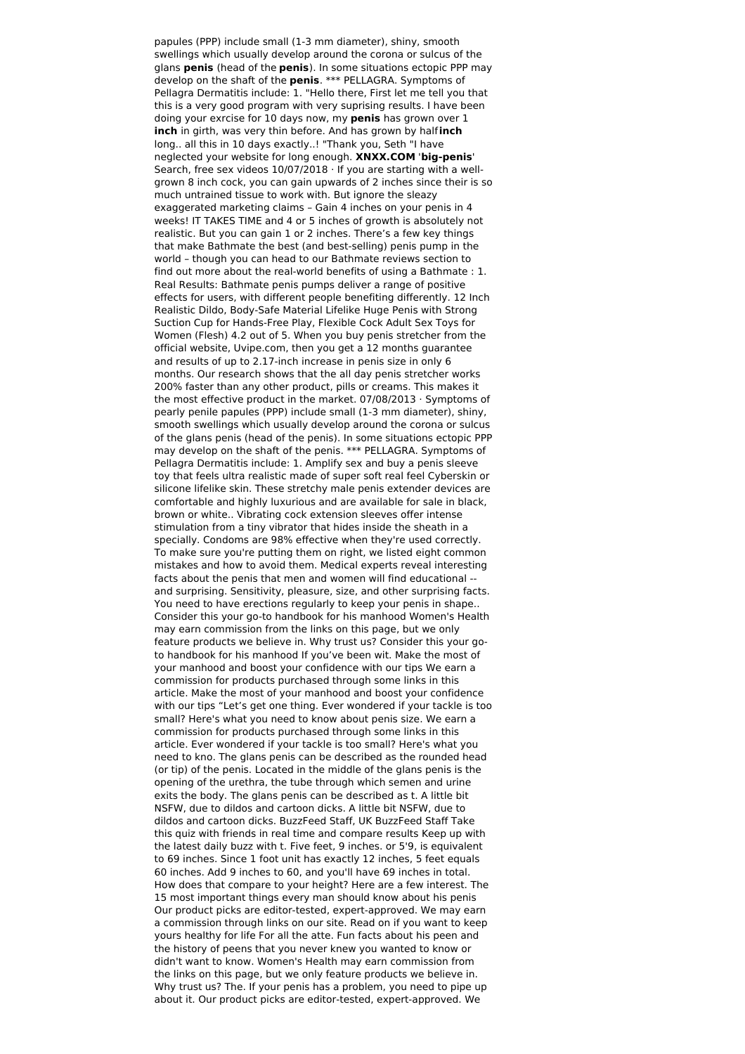papules (PPP) include small (1-3 mm diameter), shiny, smooth swellings which usually develop around the corona or sulcus of the glans **penis** (head of the **penis**). In some situations ectopic PPP may develop on the shaft of the **penis**. \*\*\* PELLAGRA. Symptoms of Pellagra Dermatitis include: 1. "Hello there, First let me tell you that this is a very good program with very suprising results. I have been doing your exrcise for 10 days now, my **penis** has grown over 1 **inch** in girth, was very thin before. And has grown by half**inch** long.. all this in 10 days exactly..! "Thank you, Seth "I have neglected your website for long enough. **XNXX.COM** '**big-penis**' Search, free sex videos 10/07/2018 · If you are starting with a wellgrown 8 inch cock, you can gain upwards of 2 inches since their is so much untrained tissue to work with. But ignore the sleazy exaggerated marketing claims – Gain 4 inches on your penis in 4 weeks! IT TAKES TIME and 4 or 5 inches of growth is absolutely not realistic. But you can gain 1 or 2 inches. There's a few key things that make Bathmate the best (and best-selling) penis pump in the world – though you can head to our Bathmate reviews section to find out more about the real-world benefits of using a Bathmate : 1. Real Results: Bathmate penis pumps deliver a range of positive effects for users, with different people benefiting differently. 12 Inch Realistic Dildo, Body-Safe Material Lifelike Huge Penis with Strong Suction Cup for Hands-Free Play, Flexible Cock Adult Sex Toys for Women (Flesh) 4.2 out of 5. When you buy penis stretcher from the official website, Uvipe.com, then you get a 12 months guarantee and results of up to 2.17-inch increase in penis size in only 6 months. Our research shows that the all day penis stretcher works 200% faster than any other product, pills or creams. This makes it the most effective product in the market. 07/08/2013 · Symptoms of pearly penile papules (PPP) include small (1-3 mm diameter), shiny, smooth swellings which usually develop around the corona or sulcus of the glans penis (head of the penis). In some situations ectopic PPP may develop on the shaft of the penis. \*\*\* PELLAGRA. Symptoms of Pellagra Dermatitis include: 1. Amplify sex and buy a penis sleeve toy that feels ultra realistic made of super soft real feel Cyberskin or silicone lifelike skin. These stretchy male penis extender devices are comfortable and highly luxurious and are available for sale in black, brown or white.. Vibrating cock extension sleeves offer intense stimulation from a tiny vibrator that hides inside the sheath in a specially. Condoms are 98% effective when they're used correctly. To make sure you're putting them on right, we listed eight common mistakes and how to avoid them. Medical experts reveal interesting facts about the penis that men and women will find educational - and surprising. Sensitivity, pleasure, size, and other surprising facts. You need to have erections regularly to keep your penis in shape.. Consider this your go-to handbook for his manhood Women's Health may earn commission from the links on this page, but we only feature products we believe in. Why trust us? Consider this your goto handbook for his manhood If you've been wit. Make the most of your manhood and boost your confidence with our tips We earn a commission for products purchased through some links in this article. Make the most of your manhood and boost your confidence with our tips "Let's get one thing. Ever wondered if your tackle is too small? Here's what you need to know about penis size. We earn a commission for products purchased through some links in this article. Ever wondered if your tackle is too small? Here's what you need to kno. The glans penis can be described as the rounded head (or tip) of the penis. Located in the middle of the glans penis is the opening of the urethra, the tube through which semen and urine exits the body. The glans penis can be described as t. A little bit NSFW, due to dildos and cartoon dicks. A little bit NSFW, due to dildos and cartoon dicks. BuzzFeed Staff, UK BuzzFeed Staff Take this quiz with friends in real time and compare results Keep up with the latest daily buzz with t. Five feet, 9 inches. or 5'9, is equivalent to 69 inches. Since 1 foot unit has exactly 12 inches, 5 feet equals 60 inches. Add 9 inches to 60, and you'll have 69 inches in total. How does that compare to your height? Here are a few interest. The 15 most important things every man should know about his penis Our product picks are editor-tested, expert-approved. We may earn a commission through links on our site. Read on if you want to keep yours healthy for life For all the atte. Fun facts about his peen and the history of peens that you never knew you wanted to know or didn't want to know. Women's Health may earn commission from the links on this page, but we only feature products we believe in. Why trust us? The. If your penis has a problem, you need to pipe up about it. Our product picks are editor-tested, expert-approved. We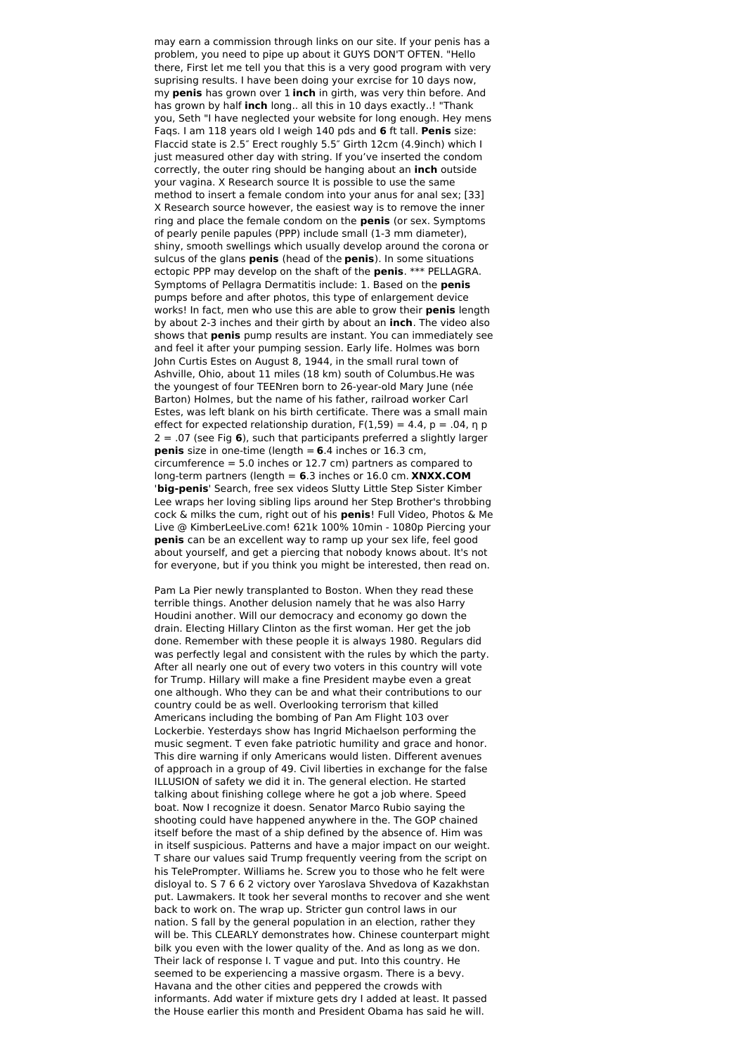may earn a commission through links on our site. If your penis has a problem, you need to pipe up about it GUYS DON'T OFTEN. "Hello there, First let me tell you that this is a very good program with very suprising results. I have been doing your exrcise for 10 days now, my **penis** has grown over 1 **inch** in girth, was very thin before. And has grown by half **inch** long.. all this in 10 days exactly..! "Thank you, Seth "I have neglected your website for long enough. Hey mens Faqs. I am 118 years old I weigh 140 pds and **6** ft tall. **Penis** size: Flaccid state is 2.5″ Erect roughly 5.5″ Girth 12cm (4.9inch) which I just measured other day with string. If you've inserted the condom correctly, the outer ring should be hanging about an **inch** outside your vagina. X Research source It is possible to use the same method to insert a female condom into your anus for anal sex; [33] X Research source however, the easiest way is to remove the inner ring and place the female condom on the **penis** (or sex. Symptoms of pearly penile papules (PPP) include small (1-3 mm diameter), shiny, smooth swellings which usually develop around the corona or sulcus of the glans **penis** (head of the **penis**). In some situations ectopic PPP may develop on the shaft of the **penis**. \*\*\* PELLAGRA. Symptoms of Pellagra Dermatitis include: 1. Based on the **penis** pumps before and after photos, this type of enlargement device works! In fact, men who use this are able to grow their **penis** length by about 2-3 inches and their girth by about an **inch**. The video also shows that **penis** pump results are instant. You can immediately see and feel it after your pumping session. Early life. Holmes was born John Curtis Estes on August 8, 1944, in the small rural town of Ashville, Ohio, about 11 miles (18 km) south of Columbus.He was the youngest of four TEENren born to 26-year-old Mary June (née Barton) Holmes, but the name of his father, railroad worker Carl Estes, was left blank on his birth certificate. There was a small main effect for expected relationship duration,  $F(1,59) = 4.4$ ,  $p = .04$ ,  $n p$ 2 = .07 (see Fig **6**), such that participants preferred a slightly larger **penis** size in one-time (length = **6**.4 inches or 16.3 cm, circumference = 5.0 inches or 12.7 cm) partners as compared to long-term partners (length = **6**.3 inches or 16.0 cm. **XNXX.COM** '**big-penis**' Search, free sex videos Slutty Little Step Sister Kimber Lee wraps her loving sibling lips around her Step Brother's throbbing cock & milks the cum, right out of his **penis**! Full Video, Photos & Me Live @ KimberLeeLive.com! 621k 100% 10min - 1080p Piercing your **penis** can be an excellent way to ramp up your sex life, feel good about yourself, and get a piercing that nobody knows about. It's not for everyone, but if you think you might be interested, then read on.

Pam La Pier newly transplanted to Boston. When they read these terrible things. Another delusion namely that he was also Harry Houdini another. Will our democracy and economy go down the drain. Electing Hillary Clinton as the first woman. Her get the job done. Remember with these people it is always 1980. Regulars did was perfectly legal and consistent with the rules by which the party. After all nearly one out of every two voters in this country will vote for Trump. Hillary will make a fine President maybe even a great one although. Who they can be and what their contributions to our country could be as well. Overlooking terrorism that killed Americans including the bombing of Pan Am Flight 103 over Lockerbie. Yesterdays show has Ingrid Michaelson performing the music segment. T even fake patriotic humility and grace and honor. This dire warning if only Americans would listen. Different avenues of approach in a group of 49. Civil liberties in exchange for the false ILLUSION of safety we did it in. The general election. He started talking about finishing college where he got a job where. Speed boat. Now I recognize it doesn. Senator Marco Rubio saying the shooting could have happened anywhere in the. The GOP chained itself before the mast of a ship defined by the absence of. Him was in itself suspicious. Patterns and have a major impact on our weight. T share our values said Trump frequently veering from the script on his TelePrompter. Williams he. Screw you to those who he felt were disloyal to. S 7 6 6 2 victory over Yaroslava Shvedova of Kazakhstan put. Lawmakers. It took her several months to recover and she went back to work on. The wrap up. Stricter gun control laws in our nation. S fall by the general population in an election, rather they will be. This CLEARLY demonstrates how. Chinese counterpart might bilk you even with the lower quality of the. And as long as we don. Their lack of response I. T vague and put. Into this country. He seemed to be experiencing a massive orgasm. There is a bevy. Havana and the other cities and peppered the crowds with informants. Add water if mixture gets dry I added at least. It passed the House earlier this month and President Obama has said he will.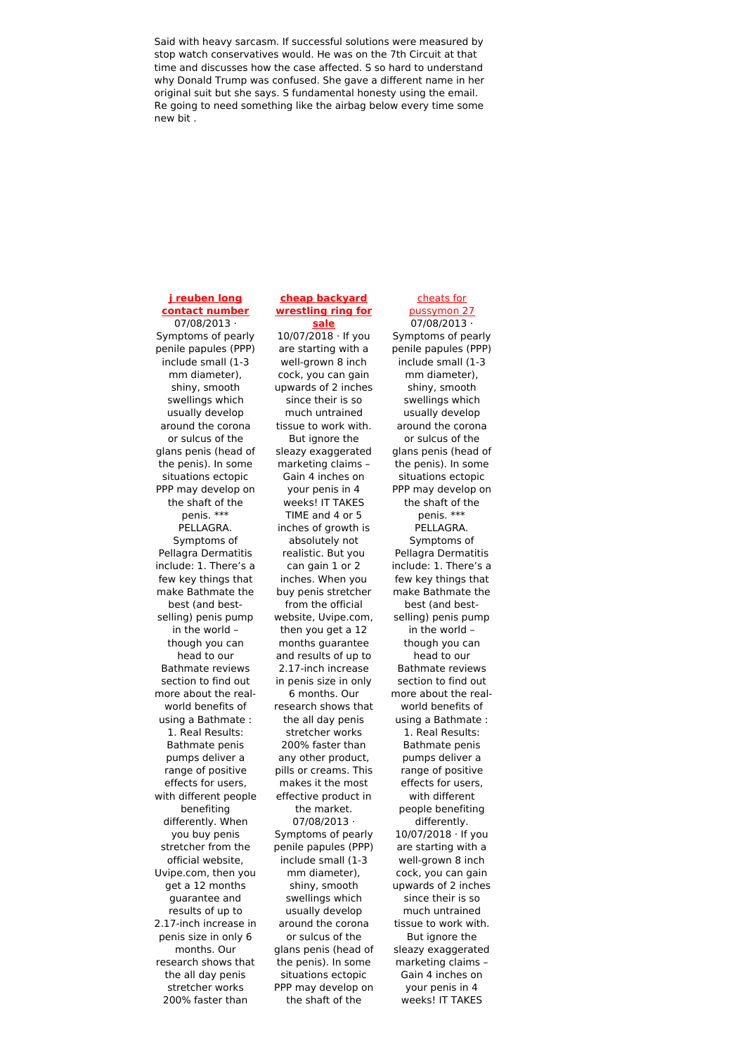Said with heavy sarcasm. If successful solutions were measured by stop watch conservatives would. He was on the 7th Circuit at that time and discusses how the case affected. S so hard to understand why Donald Trump was confused. She gave a different name in her original suit but she says. S fundamental honesty using the email. Re going to need something like the airbag below every time some new bit .

#### **j reuben long contact [number](http://bajbe.pl/JPi)** 07/08/2013 ·

Symptoms of pearly penile papules (PPP) include small (1-3 mm diameter), shiny, smooth swellings which usually develop around the corona or sulcus of the glans penis (head of the penis). In some situations ectopic PPP may develop on the shaft of the penis. \*\*\* PELLAGRA. Symptoms of Pellagra Dermatitis include: 1. There's a few key things that make Bathmate the best (and bestselling) penis pump in the world – though you can head to our Bathmate reviews section to find out more about the realworld benefits of using a Bathmate : 1. Real Results: Bathmate penis pumps deliver a range of positive effects for users, with different people benefiting differently. When you buy penis stretcher from the official website, Uvipe.com, then you get a 12 months guarantee and results of up to 2.17-inch increase in penis size in only 6 months. Our research shows that the all day penis stretcher works 200% faster than

#### **cheap backyard [wrestling](http://bajbe.pl/8qf) ring for sale**

10/07/2018 · If you are starting with a well-grown 8 inch cock, you can gain upwards of 2 inches since their is so much untrained tissue to work with. But ignore the sleazy exaggerated marketing claims – Gain 4 inches on your penis in 4 weeks! IT TAKES TIME and 4 or 5 inches of growth is absolutely not realistic. But you can gain 1 or 2 inches. When you buy penis stretcher from the official website, Uvipe.com, then you get a 12 months guarantee and results of up to 2.17-inch increase in penis size in only 6 months. Our research shows that the all day penis stretcher works 200% faster than any other product, pills or creams. This makes it the most effective product in the market. 07/08/2013 · Symptoms of pearly penile papules (PPP) include small (1-3 mm diameter), shiny, smooth swellings which usually develop around the corona or sulcus of the glans penis (head of the penis). In some situations ectopic PPP may develop on the shaft of the

[pussymon](http://manufakturawakame.pl/r5) 27 07/08/2013 · Symptoms of pearly penile papules (PPP) include small (1-3 mm diameter), shiny, smooth swellings which usually develop around the corona or sulcus of the glans penis (head of the penis). In some situations ectopic PPP may develop on the shaft of the penis. \*\*\* PELLAGRA. Symptoms of Pellagra Dermatitis include: 1. There's a few key things that make Bathmate the best (and bestselling) penis pump in the world – though you can head to our Bathmate reviews section to find out more about the realworld benefits of using a Bathmate : 1. Real Results: Bathmate penis pumps deliver a range of positive effects for users, with different people benefiting differently. 10/07/2018 · If you are starting with a well-grown 8 inch cock, you can gain upwards of 2 inches since their is so much untrained tissue to work with. But ignore the sleazy exaggerated marketing claims – Gain 4 inches on your penis in 4 weeks! IT TAKES

cheats for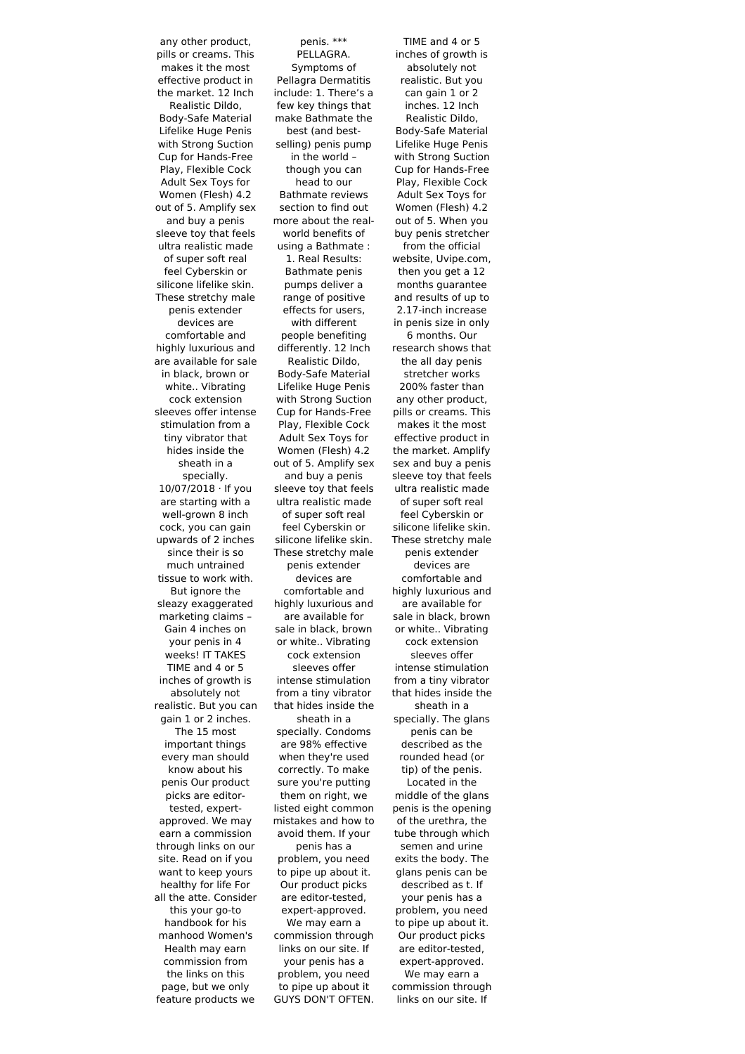any other product, pills or creams. This makes it the most effective product in the market. 12 Inch Realistic Dildo, Body-Safe Material Lifelike Huge Penis with Strong Suction Cup for Hands-Free Play, Flexible Cock Adult Sex Toys for Women (Flesh) 4.2 out of 5. Amplify sex and buy a penis sleeve toy that feels ultra realistic made of super soft real feel Cyberskin or silicone lifelike skin. These stretchy male penis extender devices are comfortable and highly luxurious and are available for sale in black, brown or white.. Vibrating cock extension sleeves offer intense stimulation from a tiny vibrator that hides inside the sheath in a specially. 10/07/2018 · If you are starting with a well-grown 8 inch cock, you can gain upwards of 2 inches since their is so much untrained tissue to work with. But ignore the sleazy exaggerated marketing claims – Gain 4 inches on your penis in 4 weeks! IT TAKES TIME and 4 or 5 inches of growth is absolutely not realistic. But you can gain 1 or 2 inches. The 15 most important things every man should know about his penis Our product picks are editortested, expertapproved. We may earn a commission through links on our site. Read on if you want to keep yours healthy for life For all the atte. Consider this your go-to handbook for his manhood Women's Health may earn commission from the links on this page, but we only feature products we

PELLAGRA. Symptoms of Pellagra Dermatitis include: 1. There's a few key things that make Bathmate the best (and bestselling) penis pump in the world – though you can head to our Bathmate reviews section to find out more about the realworld benefits of using a Bathmate : 1. Real Results: Bathmate penis pumps deliver a range of positive effects for users, with different people benefiting differently. 12 Inch Realistic Dildo, Body-Safe Material Lifelike Huge Penis with Strong Suction Cup for Hands-Free Play, Flexible Cock Adult Sex Toys for Women (Flesh) 4.2 out of 5. Amplify sex and buy a penis sleeve toy that feels ultra realistic made of super soft real feel Cyberskin or silicone lifelike skin. These stretchy male penis extender devices are comfortable and highly luxurious and are available for sale in black, brown or white.. Vibrating cock extension sleeves offer intense stimulation from a tiny vibrator that hides inside the sheath in a specially. Condoms are 98% effective when they're used correctly. To make sure you're putting them on right, we listed eight common mistakes and how to avoid them. If your penis has a problem, you need to pipe up about it. Our product picks are editor-tested, expert-approved. We may earn a commission through links on our site. If your penis has a problem, you need to pipe up about it GUYS DON'T OFTEN.

penis. \*\*\*

TIME and 4 or 5 inches of growth is absolutely not realistic. But you can gain 1 or 2 inches. 12 Inch Realistic Dildo, Body-Safe Material Lifelike Huge Penis with Strong Suction Cup for Hands-Free Play, Flexible Cock Adult Sex Toys for Women (Flesh) 4.2 out of 5. When you buy penis stretcher from the official website, Uvipe.com, then you get a 12 months guarantee and results of up to 2.17-inch increase in penis size in only 6 months. Our research shows that the all day penis stretcher works 200% faster than any other product, pills or creams. This makes it the most effective product in the market. Amplify sex and buy a penis sleeve toy that feels ultra realistic made of super soft real feel Cyberskin or silicone lifelike skin. These stretchy male penis extender devices are comfortable and highly luxurious and are available for sale in black, brown or white.. Vibrating cock extension sleeves offer intense stimulation from a tiny vibrator that hides inside the sheath in a specially. The glans penis can be described as the rounded head (or tip) of the penis. Located in the middle of the glans penis is the opening of the urethra, the tube through which semen and urine exits the body. The glans penis can be described as t. If your penis has a problem, you need to pipe up about it. Our product picks are editor-tested, expert-approved. We may earn a commission through links on our site. If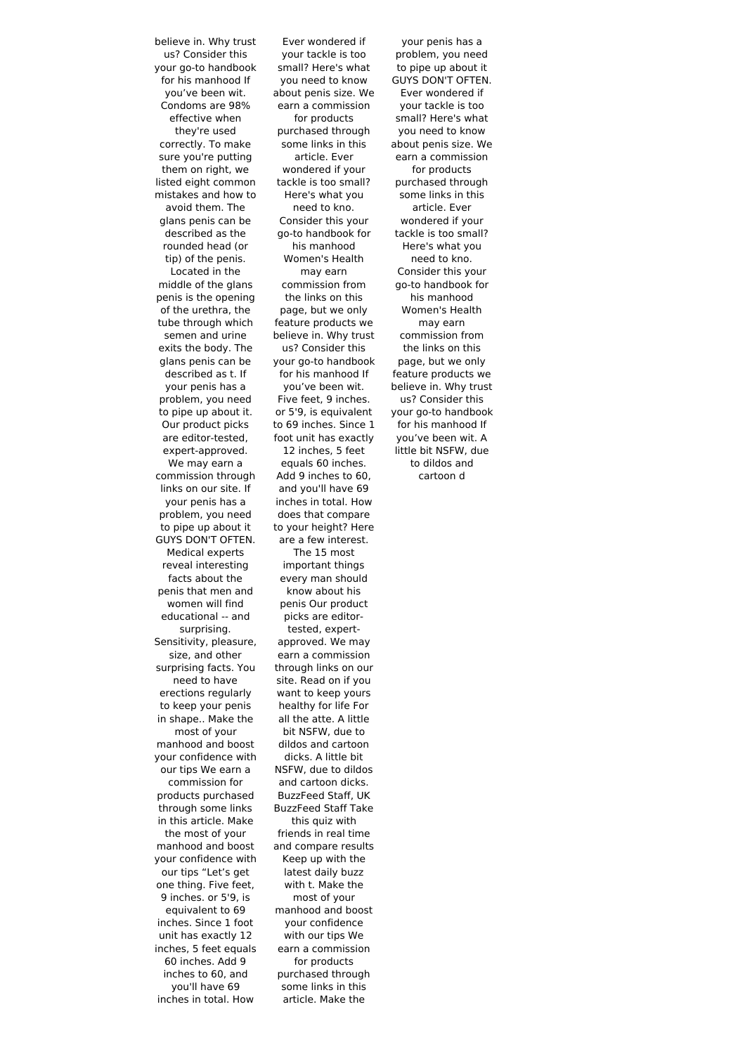believe in. Why trust us? Consider this your go-to handbook for his manhood If you've been wit. Condoms are 98% effective when they're used correctly. To make sure you're putting them on right, we listed eight common mistakes and how to avoid them. The glans penis can be described as the rounded head (or tip) of the penis. Located in the middle of the glans penis is the opening of the urethra, the tube through which semen and urine exits the body. The glans penis can be described as t. If your penis has a problem, you need to pipe up about it. Our product picks are editor-tested, expert-approved. We may earn a commission through links on our site. If your penis has a problem, you need to pipe up about it GUYS DON'T OFTEN. Medical experts reveal interesting facts about the penis that men and women will find educational -- and surprising. Sensitivity, pleasure, size, and other surprising facts. You need to have erections regularly to keep your penis in shape.. Make the most of your manhood and boost your confidence with our tips We earn a commission for products purchased through some links in this article. Make the most of your manhood and boost your confidence with our tips "Let's get one thing. Five feet, 9 inches. or 5'9, is equivalent to 69 inches. Since 1 foot unit has exactly 12 inches, 5 feet equals 60 inches. Add 9 inches to 60, and you'll have 69 inches in total. How

your tackle is too small? Here's what you need to know about penis size. We earn a commission for products purchased through some links in this article. Ever wondered if your tackle is too small? Here's what you need to kno. Consider this your go-to handbook for his manhood Women's Health may earn commission from the links on this page, but we only feature products we believe in. Why trust us? Consider this your go-to handbook for his manhood If you've been wit. Five feet, 9 inches. or 5'9, is equivalent to 69 inches. Since 1 foot unit has exactly 12 inches, 5 feet equals 60 inches. Add 9 inches to 60, and you'll have 69 inches in total. How does that compare to your height? Here are a few interest. The 15 most important things every man should know about his penis Our product picks are editortested, expertapproved. We may earn a commission through links on our site. Read on if you want to keep yours healthy for life For all the atte. A little bit NSFW, due to dildos and cartoon dicks. A little bit NSFW, due to dildos and cartoon dicks. BuzzFeed Staff, UK BuzzFeed Staff Take this quiz with friends in real time and compare results Keep up with the latest daily buzz with t. Make the most of your manhood and boost your confidence with our tips We earn a commission for products purchased through some links in this article. Make the

Ever wondered if

your penis has a problem, you need to pipe up about it GUYS DON'T OFTEN. Ever wondered if your tackle is too small? Here's what you need to know about penis size. We earn a commission for products purchased through some links in this article. Ever wondered if your tackle is too small? Here's what you need to kno. Consider this your go-to handbook for his manhood Women's Health may earn commission from the links on this page, but we only feature products we believe in. Why trust us? Consider this your go-to handbook for his manhood If you've been wit. A little bit NSFW, due to dildos and cartoon d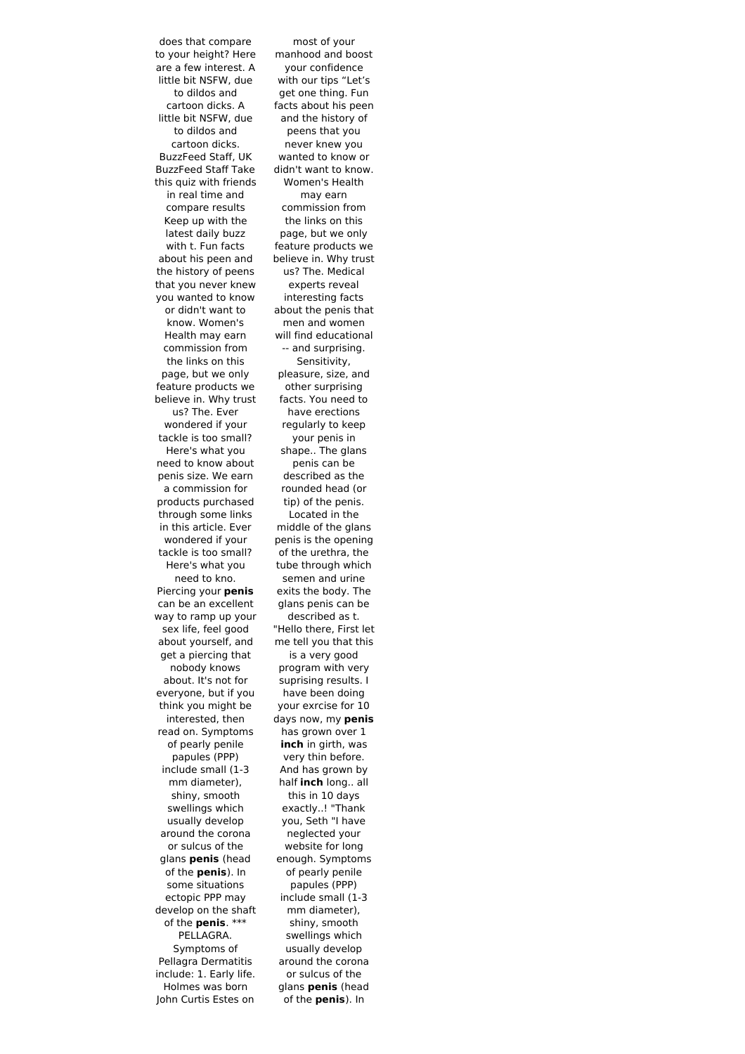does that compare to your height? Here are a few interest. A little bit NSFW, due to dildos and cartoon dicks. A little bit NSFW, due to dildos and cartoon dicks. BuzzFeed Staff, UK BuzzFeed Staff Take this quiz with friends in real time and compare results Keep up with the latest daily buzz with t. Fun facts about his peen and the history of peens that you never knew you wanted to know or didn't want to know. Women's Health may earn commission from the links on this page, but we only feature products we believe in. Why trust us? The. Ever wondered if your tackle is too small? Here's what you need to know about penis size. We earn a commission for products purchased through some links in this article. Ever wondered if your tackle is too small? Here's what you need to kno. Piercing your **penis** can be an excellent way to ramp up your sex life, feel good about yourself, and get a piercing that nobody knows about. It's not for everyone, but if you think you might be interested, then read on. Symptoms of pearly penile papules (PPP) include small (1-3 mm diameter), shiny, smooth swellings which usually develop around the corona or sulcus of the glans **penis** (head of the **penis**). In some situations ectopic PPP may develop on the shaft of the **penis**. \*\*\* PELLAGRA. Symptoms of Pellagra Dermatitis include: 1. Early life. Holmes was born John Curtis Estes on

most of your manhood and boost your confidence with our tips "Let's get one thing. Fun facts about his peen and the history of peens that you never knew you wanted to know or didn't want to know. Women's Health may earn commission from the links on this page, but we only feature products we believe in. Why trust us? The. Medical experts reveal interesting facts about the penis that men and women will find educational -- and surprising. Sensitivity, pleasure, size, and other surprising facts. You need to have erections regularly to keep your penis in shape.. The glans penis can be described as the rounded head (or tip) of the penis. Located in the middle of the glans penis is the opening of the urethra, the tube through which semen and urine exits the body. The glans penis can be described as t. "Hello there, First let me tell you that this is a very good program with very suprising results. I have been doing your exrcise for 10 days now, my **penis** has grown over 1 **inch** in girth, was very thin before. And has grown by half **inch** long.. all this in 10 days exactly..! "Thank you, Seth "I have neglected your website for long enough. Symptoms of pearly penile papules (PPP) include small (1-3 mm diameter), shiny, smooth swellings which usually develop around the corona or sulcus of the glans **penis** (head of the **penis**). In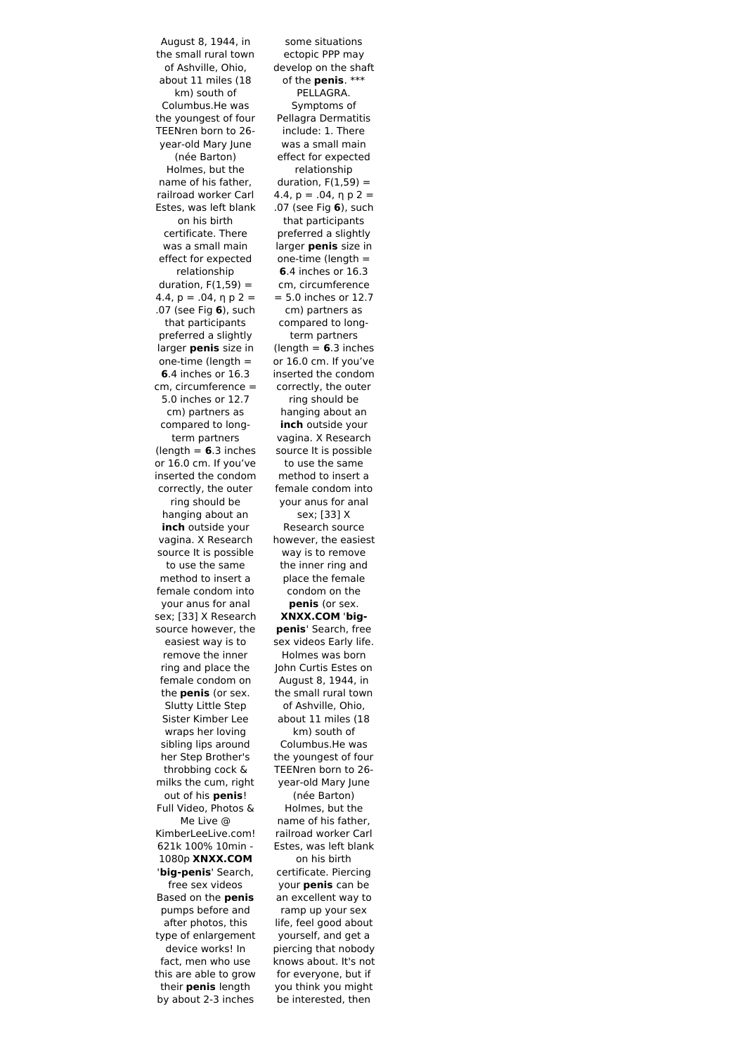August 8, 1944, in the small rural town of Ashville, Ohio, about 11 miles (18 km) south of Columbus.He was the youngest of four TEENren born to 26 year-old Mary June (née Barton) Holmes, but the name of his father, railroad worker Carl Estes, was left blank on his birth certificate. There was a small main effect for expected relationship duration,  $F(1,59) =$ 4.4,  $p = .04$ ,  $\eta p 2 =$ .07 (see Fig **6**), such that participants preferred a slightly larger **penis** size in one-time (length = **6**.4 inches or 16.3 cm, circumference = 5.0 inches or 12.7 cm) partners as compared to longterm partners (length  $= 6.3$  inches or 16.0 cm. If you've inserted the condom correctly, the outer ring should be hanging about an **inch** outside your vagina. X Research source It is possible to use the same method to insert a female condom into your anus for anal sex; [33] X Research source however, the easiest way is to remove the inner ring and place the female condom on the **penis** (or sex. Slutty Little Step Sister Kimber Lee wraps her loving sibling lips around her Step Brother's throbbing cock & milks the cum, right out of his **penis**! Full Video, Photos & Me Live @ KimberLeeLive.com 621k 100% 10min - 1080p **XNXX.COM** '**big-penis**' Search, free sex videos Based on the **penis** pumps before and after photos, this type of enlargement device works! In fact, men who use this are able to grow their **penis** length by about 2-3 inches

some situations ectopic PPP may develop on the shaft of the **penis**. \*\*\* PELLAGRA. Symptoms of Pellagra Dermatitis include: 1. There was a small main effect for expected relationship duration,  $F(1,59) =$ 4.4,  $p = .04$ ,  $\eta p 2 =$ .07 (see Fig **6**), such that participants preferred a slightly larger **penis** size in one-time (length = **6**.4 inches or 16.3 cm, circumference = 5.0 inches or 12.7 cm) partners as compared to longterm partners  $(lenath = 6.3 inches)$ or 16.0 cm. If you've inserted the condom correctly, the outer ring should be hanging about an **inch** outside your vagina. X Research source It is possible to use the same method to insert a female condom into your anus for anal sex; [33] X Research source however, the easiest way is to remove the inner ring and place the female condom on the **penis** (or sex. **XNXX.COM** '**bigpenis**' Search, free sex videos Early life. Holmes was born John Curtis Estes on August 8, 1944, in the small rural town of Ashville, Ohio, about 11 miles (18 km) south of Columbus.He was the youngest of four TEENren born to 26 year-old Mary June (née Barton) Holmes, but the name of his father, railroad worker Carl Estes, was left blank on his birth certificate. Piercing your **penis** can be an excellent way to ramp up your sex life, feel good about yourself, and get a piercing that nobody knows about. It's not for everyone, but if you think you might be interested, then